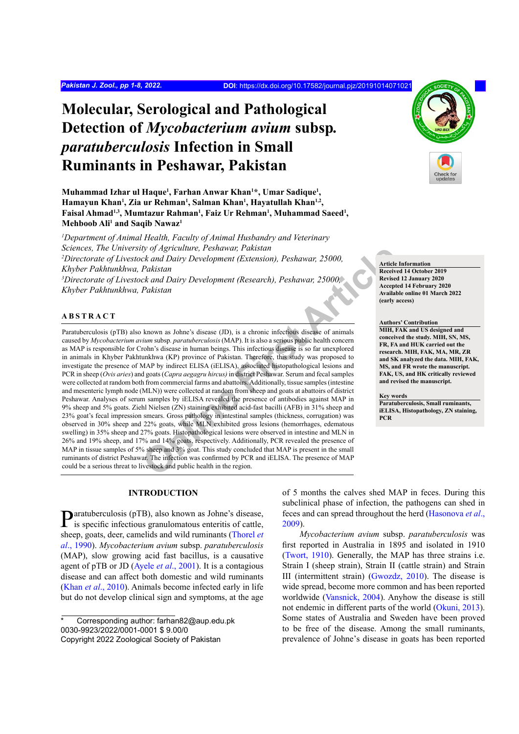# **Molecular, Serological and Pathological Detection of** *Mycobacterium avium* **subsp***. paratuberculosis* **Infection in Small Ruminants in Peshawar, Pakistan**

**Muhammad Izhar ul Haque1 , Farhan Anwar Khan1 \*, Umar Sadique1 , Hamayun Khan1 , Zia ur Rehman1 , Salman Khan1 , Hayatullah Khan1,2,**  Faisal Ahmad<sup>1,3</sup>, Mumtazur Rahman<sup>1</sup>, Faiz Ur Rehman<sup>1</sup>, Muhammad Saeed<sup>1</sup>, **Mehboob Ali1 and Saqib Nawaz1**

*1 Department of Animal Health, Faculty of Animal Husbandry and Veterinary Sciences, The University of Agriculture, Peshawar, Pakistan* <sup>2</sup>Directorate of Livestock and Dairy Development (Extension), Peshawar, 25000, *Khyber Pakhtunkhwa, Pakistan 3 Directorate of Livestock and Dairy Development (Research), Peshawar, 25000, Khyber Pakhtunkhwa, Pakistan*

#### **ABSTRACT**

*IS D D Agriculture, Peshawar, Pakistan*<br> *Chaistan*<br> *Chaistan*<br> *Online Development (Research), Peshawar, 25000,<br>
<br>
<i>Chaistan*<br> *Chaistan*<br> *Chaistan*<br> *Chaistan*<br> *Chaistan*<br> *Chaistan*<br> *Chaistan*<br> **Chaistan**<br> **C** Paratuberculosis (pTB) also known as Johne's disease (JD), is a chronic infectious disease of animals caused by *Mycobacterium avium* subsp*. paratuberculosis* (MAP). It is also a serious public health concern as MAP is responsible for Crohn's disease in human beings. This infectious disease is so far unexplored in animals in Khyber Pakhtunkhwa (KP) province of Pakistan. Therefore, this study was proposed to investigate the presence of MAP by indirect ELISA (iELISA), associated histopathological lesions and PCR in sheep (*Ovis aries*) and goats (*Capra aegagru hircus)* in district Peshawar. Serum and fecal samples were collected at random both from commercial farms and abattoirs. Additionally, tissue samples (intestine and mesenteric lymph node (MLN)) were collected at random from sheep and goats at abattoirs of district Peshawar. Analyses of serum samples by iELISA revealed the presence of antibodies against MAP in 9% sheep and 5% goats. Ziehl Nielsen (ZN) staining exhibited acid-fast bacilli (AFB) in 31% sheep and 23% goat's fecal impression smears. Gross pathology in intestinal samples (thickness, corrugation) was observed in 30% sheep and 22% goats, while MLN exhibited gross lesions (hemorrhages, edematous swelling) in 35% sheep and 27% goats. Histopathological lesions were observed in intestine and MLN in 26% and 19% sheep, and 17% and 14% goats, respectively. Additionally, PCR revealed the presence of MAP in tissue samples of 5% sheep and 3% goat. This study concluded that MAP is present in the small ruminants of district Peshawar. The infection was confirmed by PCR and iELISA. The presence of MAP could be a serious threat to livestock and public health in the region.

# **INTRODUCTION**

Paratuberculosis (pTB), also known as Johne's disease, is specific infectious granulomatous enteritis of cattle, sheep, goats, deer, camelids and wild ruminants (Thorel *et al*., 1990). *Mycobacterium avium* subsp. *paratuberculosis*  (MAP), slow growing acid fast bacillus, is a causative agent of pTB or JD (Ayele *et al*., 2001). It is a contagious disease and can affect both domestic and wild ruminants (Khan *et al*., 2010). Animals become infected early in life but do not develop clinical sign and symptoms, at the age

Corresponding author: farhan82@aup.edu.pk 0030-9923/2022/0001-0001 \$ 9.00/0 Copyright 2022 Zoological Society of Pakistan



*Mycobacterium avium* subsp. *paratuberculosis* was first reported in Australia in 1895 and isolated in 1910 (Twort, 1910). Generally, the MAP has three strains i.e. Strain I (sheep strain), Strain II (cattle strain) and Strain III (intermittent strain) (Gwozdz, 2010). The disease is wide spread, become more common and has been reported worldwide (Vansnick, 2004). Anyhow the disease is still not endemic in different parts of the world (Okuni, 2013). Some states of Australia and Sweden have been proved to be free of the disease. Among the small ruminants, prevalence of Johne's disease in goats has been reported



**Article Information Received 14 October 2019 Revised 12 January 2020 Accepted 14 February 2020 Available online 01 March 2022 (early access)**

#### **Authors' Contribution**

**MIH, FAK and US designed and conceived the study. MIH, SN, MS, FR, FA and HUK carried out the research. MIH, FAK, MA, MR, ZR and SK analyzed the data. MIH, FAK, MS, and FR wrote the manuscript. FAK, US, and HK critically reviewed and revised the manuscript.**

## **Key words**

**Paratuberculosis, Small ruminants, iELISA, Histopathology, ZN staining, PCR**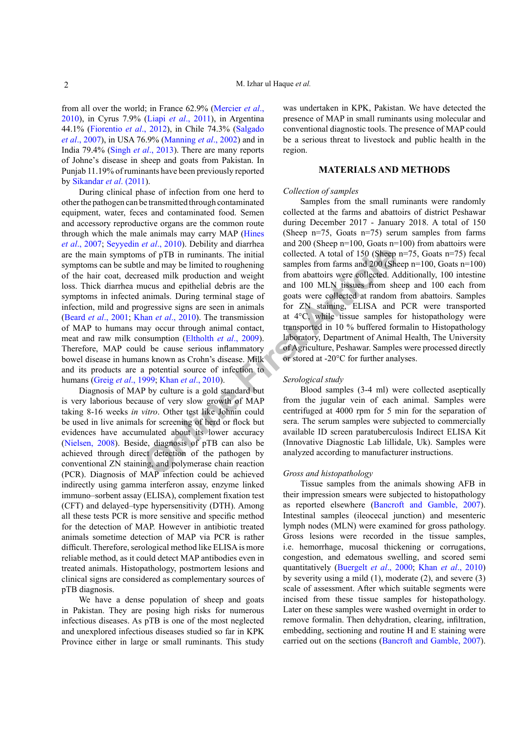from all over the world; in France 62.9% (Mercier *et al*., 2010), in Cyrus 7.9% (Liapi *et al*., 2011), in Argentina 44.1% (Fiorentio *et al*., 2012), in Chile 74.3% (Salgado *et al*., 2007), in USA 76.9% (Manning *et al*., 2002) and in India 79.4% (Singh *et al*., 2013). There are many reports of Johne's disease in sheep and goats from Pakistan. In Punjab 11.19% of ruminants have been previously reported by Sikandar *et al*. (2011).

**Solution** Solution and weight and political collected. A total of 150 (Sheep and may be limited to roughening samples from farms and 200 (Sheep and may be limited to roughening samples from farms and 200 (Sheep and may be During clinical phase of infection from one herd to other the pathogen can be transmitted through contaminated equipment, water, feces and contaminated food. Semen and accessory reproductive organs are the common route through which the male animals may carry MAP (Hines *et al*., 2007; Seyyedin *et al*., 2010). Debility and diarrhea are the main symptoms of pTB in ruminants. The initial symptoms can be subtle and may be limited to roughening of the hair coat, decreased milk production and weight loss. Thick diarrhea mucus and epithelial debris are the symptoms in infected animals. During terminal stage of infection, mild and progressive signs are seen in animals (Beard *et al*., 2001; Khan *et al*., 2010). The transmission of MAP to humans may occur through animal contact, meat and raw milk consumption (Eltholth *et al*., 2009). Therefore, MAP could be cause serious inflammatory bowel disease in humans known as Crohn's disease. Milk and its products are a potential source of infection to humans (Greig *et al*., 1999; Khan *et al*., 2010).

Diagnosis of MAP by culture is a gold standard but is very laborious because of very slow growth of MAP taking 8-16 weeks *in vitro*. Other test like Johnin could be used in live animals for screening of herd or flock but evidences have accumulated about its lower accuracy (Nielsen, 2008). Beside, diagnosis of pTB can also be achieved through direct detection of the pathogen by conventional ZN staining, and polymerase chain reaction (PCR). Diagnosis of MAP infection could be achieved indirectly using gamma interferon assay, enzyme linked immuno–sorbent assay (ELISA), complement fixation test (CFT) and delayed–type hypersensitivity (DTH). Among all these tests PCR is more sensitive and specific method for the detection of MAP. However in antibiotic treated animals sometime detection of MAP via PCR is rather difficult. Therefore, serological method like ELISA is more reliable method, as it could detect MAP antibodies even in treated animals. Histopathology, postmortem lesions and clinical signs are considered as complementary sources of pTB diagnosis.

We have a dense population of sheep and goats in Pakistan. They are posing high risks for numerous infectious diseases. As pTB is one of the most neglected and unexplored infectious diseases studied so far in KPK Province either in large or small ruminants. This study

was undertaken in KPK, Pakistan. We have detected the presence of MAP in small ruminants using molecular and conventional diagnostic tools. The presence of MAP could be a serious threat to livestock and public health in the region.

# **MATERIALS AND METHODS**

#### *Collection of samples*

Samples from the small ruminants were randomly collected at the farms and abattoirs of district Peshawar during December 2017 - January 2018. A total of 150 (Sheep n=75, Goats n=75) serum samples from farms and 200 (Sheep n=100, Goats n=100) from abattoirs were collected. A total of 150 (Sheep n=75, Goats n=75) fecal samples from farms and 200 (Sheep n=100, Goats n=100) from abattoirs were collected. Additionally, 100 intestine and 100 MLN tissues from sheep and 100 each from goats were collected at random from abattoirs. Samples for ZN staining, ELISA and PCR were transported at 4°C, while tissue samples for histopathology were transported in 10 % buffered formalin to Histopathology laboratory, Department of Animal Health, The University of Agriculture, Peshawar. Samples were processed directly or stored at -20°C for further analyses.

# *Serological study*

Blood samples (3-4 ml) were collected aseptically from the jugular vein of each animal. Samples were centrifuged at 4000 rpm for 5 min for the separation of sera. The serum samples were subjected to commercially available ID screen paratuberculosis Indirect ELISA Kit (Innovative Diagnostic Lab lillidale, Uk). Samples were analyzed according to manufacturer instructions.

#### *Gross and histopathology*

Tissue samples from the animals showing AFB in their impression smears were subjected to histopathology as reported elsewhere (Bancroft and Gamble, 2007). Intestinal samples (ileocecal junction) and mesenteric lymph nodes (MLN) were examined for gross pathology. Gross lesions were recorded in the tissue samples, i.e. hemorrhage, mucosal thickening or corrugations, congestion, and edematous swelling, and scored semi quantitatively (Buergelt *et al*., 2000; Khan *et al*., 2010) by severity using a mild (1), moderate (2), and severe (3) scale of assessment. After which suitable segments were incised from these tissue samples for histopathology. Later on these samples were washed overnight in order to remove formalin. Then dehydration, clearing, infiltration, embedding, sectioning and routine H and E staining were carried out on the sections (Bancroft and Gamble, 2007).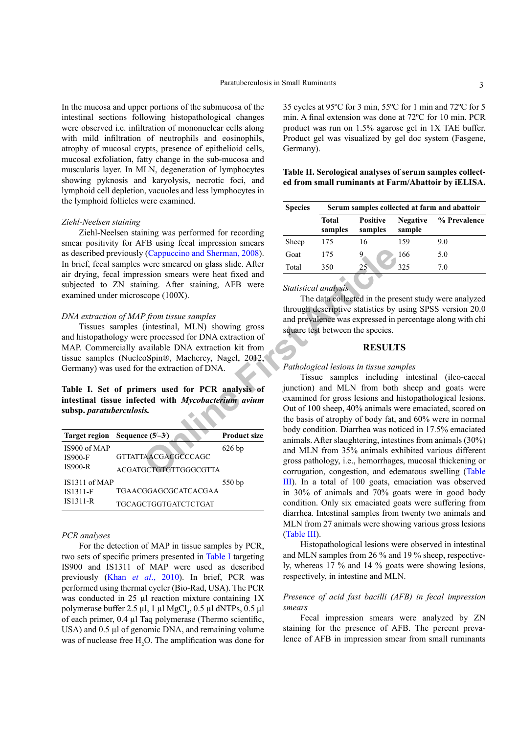In the mucosa and upper portions of the submucosa of the intestinal sections following histopathological changes were observed i.e. infiltration of mononuclear cells along with mild infiltration of neutrophils and eosinophils, atrophy of mucosal crypts, presence of epithelioid cells, mucosal exfoliation, fatty change in the sub-mucosa and muscularis layer. In MLN, degeneration of lymphocytes showing pyknosis and karyolysis, necrotic foci, and lymphoid cell depletion, vacuoles and less lymphocytes in the lymphoid follicles were examined.

#### *Ziehl-Neelsen staining*

Ziehl-Neelsen staining was performed for recording smear positivity for AFB using fecal impression smears as described previously (Cappuccino and Sherman, 2008). In brief, fecal samples were smeared on glass slide. After air drying, fecal impression smears were heat fixed and subjected to ZN staining. After staining, AFB were examined under microscope (100X).

## *DNA extraction of MAP from tissue samples*

Tissues samples (intestinal, MLN) showing gross and histopathology were processed for DNA extraction of MAP. Commercially available DNA extraction kit from tissue samples (NucleoSpin®, Macherey, Nagel, 2012, Germany) was used for the extraction of DNA.

**Table I. Set of primers used for PCR analysis of intestinal tissue infected with** *Mycobacterium avium* **subsp.** *paratuberculosis.*

|                 | Target region Sequence $(5-3)$ | <b>Product size</b> |
|-----------------|--------------------------------|---------------------|
| IS900 of MAP    |                                | $626$ bp            |
| <b>IS900-F</b>  | <b>GTTATTAACGACGCCCAGC</b>     |                     |
| <b>IS900-R</b>  | <b>ACGATGCTGTGTTGGGCGTTA</b>   |                     |
| $IS1311$ of MAP |                                | 550 bp              |
| IS1311-F        | TGAACGGAGCGCATCACGAA           |                     |
| <b>IS1311-R</b> | TGCAGCTGGTGATCTCTGAT           |                     |

#### *PCR analyses*

For the detection of MAP in tissue samples by PCR, two sets of specific primers presented in Table I targeting IS900 and IS1311 of MAP were used as described previously (Khan *et al*., 2010). In brief, PCR was performed using thermal cycler (Bio-Rad, USA). The PCR was conducted in 25  $\mu$ l reaction mixture containing 1X polymerase buffer 2.5 µl, 1 µl MgCl**<sup>2</sup>** , 0.5 µl dNTPs, 0.5 µl of each primer, 0.4 µl Taq polymerase (Thermo scientific, USA) and  $0.5$  µl of genomic DNA, and remaining volume was of nuclease free  $H_2O$ . The amplification was done for

35 cycles at 95ºC for 3 min, 55ºC for 1 min and 72ºC for 5 min. A final extension was done at 72ºC for 10 min. PCR product was run on 1.5% agarose gel in 1X TAE buffer. Product gel was visualized by gel doc system (Fasgene, Germany).

# **Table II. Serological analyses of serum samples collected from small ruminants at Farm/Abattoir by iELISA.**

| <b>Species</b> |                  |                            |                           | Serum samples collected at farm and abattoir |  |  |  |
|----------------|------------------|----------------------------|---------------------------|----------------------------------------------|--|--|--|
|                | Total<br>samples | <b>Positive</b><br>samples | <b>Negative</b><br>sample | % Prevalence                                 |  |  |  |
| Sheep          | 175              | 16                         | 159                       | 9.0                                          |  |  |  |
| Goat           | 175              |                            | 166                       | 5.0                                          |  |  |  |
| Total          | 350              | 25                         | 325                       | 70                                           |  |  |  |
|                |                  |                            |                           |                                              |  |  |  |

*Statistical analysis*

The data collected in the present study were analyzed through descriptive statistics by using SPSS version 20.0 and prevalence was expressed in percentage along with chi square test between the species.

# **RESULTS**

#### *Pathological lesions in tissue samples*

The term of Sherman, 2008).<br>
Solution and Sherman, 2008).<br>
Solution serves small and the prime of the staining, AFB were small and the staining and the staining are beat fixed and the statistical *analysis* of the data col Tissue samples including intestinal (ileo-caecal junction) and MLN from both sheep and goats were examined for gross lesions and histopathological lesions. Out of 100 sheep, 40% animals were emaciated, scored on the basis of atrophy of body fat, and 60% were in normal body condition. Diarrhea was noticed in 17.5% emaciated animals. After slaughtering, intestines from animals (30%) and MLN from 35% animals exhibited various different gross pathology, i.e., hemorrhages, mucosal thickening or corrugation, congestion, and edematous swelling (Table III). In a total of 100 goats, emaciation was observed in 30% of animals and 70% goats were in good body condition. Only six emaciated goats were suffering from diarrhea. Intestinal samples from twenty two animals and MLN from 27 animals were showing various gross lesions (Table III).

> Histopathological lesions were observed in intestinal and MLN samples from 26 % and 19 % sheep, respectively, whereas 17 % and 14 % goats were showing lesions, respectively, in intestine and MLN.

# *Presence of acid fast bacilli (AFB) in fecal impression smears*

Fecal impression smears were analyzed by ZN staining for the presence of AFB. The percent prevalence of AFB in impression smear from small ruminants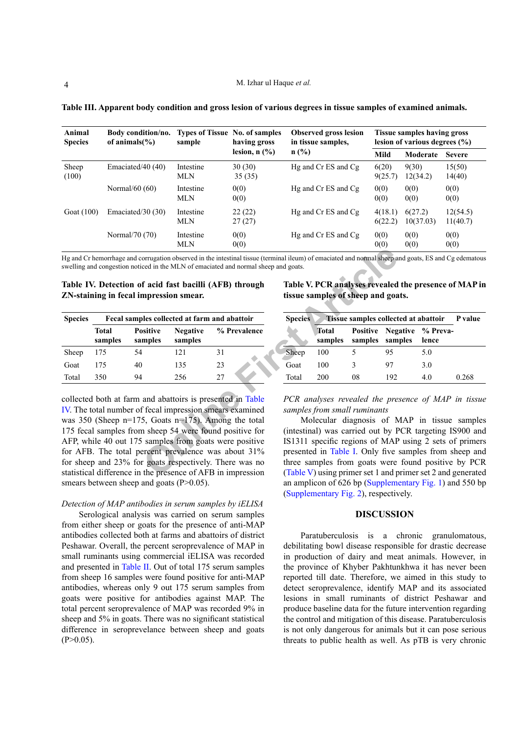| Animal<br><b>Species</b> | Body condition/no.<br>of animals $\frac{6}{6}$ | <b>Types of Tissue No. of samples</b><br>sample | having gross<br>lesion, $n$ $\left(\frac{9}{6}\right)$ | <b>Observed gross lesion</b><br>in tissue samples, | Tissue samples having gross<br>lesion of various degrees $(\% )$ |                      |                      |
|--------------------------|------------------------------------------------|-------------------------------------------------|--------------------------------------------------------|----------------------------------------------------|------------------------------------------------------------------|----------------------|----------------------|
|                          |                                                |                                                 |                                                        | $n$ (%)                                            | Mild                                                             | Moderate             | <b>Severe</b>        |
| Sheep<br>(100)           | Emaciated/40 (40)                              | Intestine<br>MLN                                | 30(30)<br>35(35)                                       | Hg and Cr ES and Cg                                | 6(20)<br>9(25.7)                                                 | 9(30)<br>12(34.2)    | 15(50)<br>14(40)     |
|                          | Normal/ $60(60)$                               | Intestine<br><b>MLN</b>                         | 0(0)<br>0(0)                                           | Hg and Cr ES and Cg                                | 0(0)<br>0(0)                                                     | 0(0)<br>0(0)         | 0(0)<br>0(0)         |
| Goat (100)               | Emaciated/30 $(30)$                            | Intestine<br><b>MLN</b>                         | 22(22)<br>27(27)                                       | Hg and Cr ES and Cg                                | 4(18.1)<br>6(22.2)                                               | 6(27.2)<br>10(37.03) | 12(54.5)<br>11(40.7) |
|                          | Normal/70 (70)                                 | Intestine<br><b>MLN</b>                         | 0(0)<br>0(0)                                           | Hg and Cr ES and Cg                                | 0(0)<br>0(0)                                                     | 0(0)<br>0(0)         | 0(0)<br>0(0)         |

**Table III. Apparent body condition and gross lesion of various degrees in tissue samples of examined animals.**

Hg and Cr hemorrhage and corrugation observed in the intestinal tissue (terminal ileum) of emaciated and normal sheep and goats, ES and Cg edematous swelling and congestion noticed in the MLN of emaciated and normal sheep and goats.

|  | Table IV. Detection of acid fast bacilli (AFB) through |  |
|--|--------------------------------------------------------|--|
|  | ZN-staining in fecal impression smear.                 |  |

**Table V. PCR analyses revealed the presence of MAP in tissue samples of sheep and goats.**

| <b>Species</b><br>Sheep |                         | Fecal samples collected at farm and abattoir |                            |              |  |
|-------------------------|-------------------------|----------------------------------------------|----------------------------|--------------|--|
|                         | <b>Total</b><br>samples | <b>Positive</b><br>samples                   | <b>Negative</b><br>samples | % Prevalence |  |
|                         | 175                     | 54                                           | 121                        | 31           |  |
| Goat                    | 175                     | 40                                           | 135                        | 23           |  |
| Total                   | 350                     | 94                                           | 256                        | 27           |  |

orrugation observed in the intestinal tissue (terminal ileum) of emaciated and normal sheep and<br>eed in the MLN of emaciated and normal sheep and goats.<br> **f** acid fast bacilli (AFB) through Table V. PCR analyses revealed<br>
m collected both at farm and abattoirs is presented in Table IV. The total number of fecal impression smears examined was 350 (Sheep n=175, Goats n=175). Among the total 175 fecal samples from sheep 54 were found positive for AFP, while 40 out 175 samples from goats were positive for AFB. The total percent prevalence was about 31% for sheep and 23% for goats respectively. There was no statistical difference in the presence of AFB in impression smears between sheep and goats  $(P>0.05)$ .

## *Detection of MAP antibodies in serum samples by iELISA*

Serological analysis was carried on serum samples from either sheep or goats for the presence of anti-MAP antibodies collected both at farms and abattoirs of district Peshawar. Overall, the percent seroprevalence of MAP in small ruminants using commercial iELISA was recorded and presented in Table II. Out of total 175 serum samples from sheep 16 samples were found positive for anti-MAP antibodies, whereas only 9 out 175 serum samples from goats were positive for antibodies against MAP. The total percent seroprevalence of MAP was recorded 9% in sheep and 5% in goats. There was no significant statistical difference in seroprevelance between sheep and goats  $(P>0.05)$ .

| <b>Species</b> | <b>Tissue samples collected at abattoir</b> P value |    |                                                      |       |       |
|----------------|-----------------------------------------------------|----|------------------------------------------------------|-------|-------|
|                | Total<br>samples                                    |    | <b>Positive Negative % Preva-</b><br>samples samples | lence |       |
| <b>Sheep</b>   | 100                                                 |    | 95                                                   | 5.0   |       |
| Goat           | 100                                                 | 3  | 97                                                   | 3.0   |       |
| Total          | 200                                                 | 08 | 192                                                  | 4.0   | 0.268 |

*PCR analyses revealed the presence of MAP in tissue samples from small ruminants*

Molecular diagnosis of MAP in tissue samples (intestinal) was carried out by PCR targeting IS900 and IS1311 specific regions of MAP using 2 sets of primers presented in Table I. Only five samples from sheep and three samples from goats were found positive by PCR (Table V) using primer set 1 and primer set 2 and generated an amplicon of 626 bp (Supplementary Fig. 1) and 550 bp (Supplementary Fig. 2), respectively.

# **DISCUSSION**

Paratuberculosis is a chronic granulomatous, debilitating bowl disease responsible for drastic decrease in production of dairy and meat animals. However, in the province of Khyber Pakhtunkhwa it has never been reported till date. Therefore, we aimed in this study to detect seroprevalence, identify MAP and its associated lesions in small ruminants of district Peshawar and produce baseline data for the future intervention regarding the control and mitigation of this disease. Paratuberculosis is not only dangerous for animals but it can pose serious threats to public health as well. As pTB is very chronic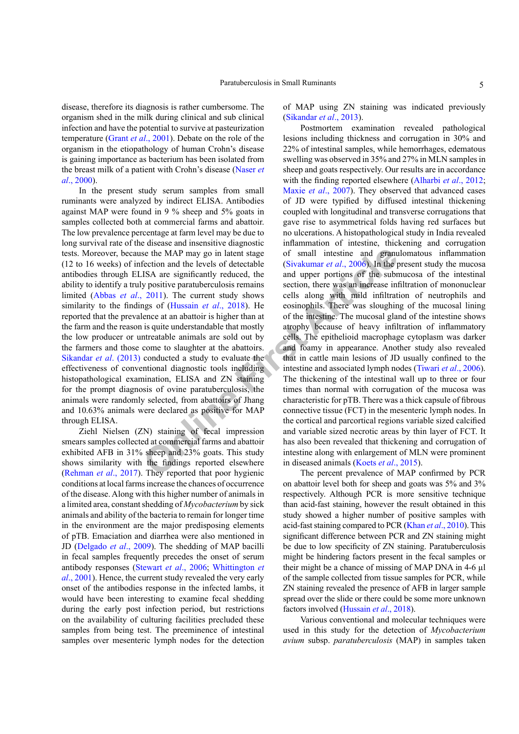disease, therefore its diagnosis is rather cumbersome. The organism shed in the milk during clinical and sub clinical infection and have the potential to survive at pasteurization temperature (Grant *et al*., 2001). Debate on the role of the organism in the etiopathology of human Crohn's disease is gaining importance as bacterium has been isolated from the breast milk of a patient with Crohn's disease (Naser *et al*., 2000).

In the present study serum samples from small ruminants were analyzed by indirect ELISA. Antibodies against MAP were found in 9 % sheep and 5% goats in samples collected both at commercial farms and abattoir. The low prevalence percentage at farm level may be due to long survival rate of the disease and insensitive diagnostic tests. Moreover, because the MAP may go in latent stage (12 to 16 weeks) of infection and the levels of detectable antibodies through ELISA are significantly reduced, the ability to identify a truly positive paratuberculosis remains limited (Abbas *et al*., 2011). The current study shows similarity to the findings of (Hussain *et al*., 2018). He reported that the prevalence at an abattoir is higher than at the farm and the reason is quite understandable that mostly the low producer or untreatable animals are sold out by the farmers and those come to slaughter at the abattoirs. Sikandar *et al*. (2013) conducted a study to evaluate the effectiveness of conventional diagnostic tools including histopathological examination, ELISA and ZN staining for the prompt diagnosis of ovine paratuberculosis, the animals were randomly selected, from abattoirs of Jhang and 10.63% animals were declared as positive for MAP through ELISA.

Ziehl Nielsen (ZN) staining of fecal impression smears samples collected at commercial farms and abattoir exhibited AFB in 31% sheep and 23% goats. This study shows similarity with the findings reported elsewhere (Rehman *et al*., 2017). They reported that poor hygienic conditions at local farms increase the chances of occurrence of the disease. Along with this higher number of animals in a limited area, constant shedding of *Mycobacterium* by sick animals and ability of the bacteria to remain for longer time in the environment are the major predisposing elements of pTB. Emaciation and diarrhea were also mentioned in JD (Delgado *et al*., 2009). The shedding of MAP bacilli in fecal samples frequently precedes the onset of serum antibody responses (Stewart *et al*., 2006; Whittington *et al*., 2001). Hence, the current study revealed the very early onset of the antibodies response in the infected lambs, it would have been interesting to examine fecal shedding during the early post infection period, but restrictions on the availability of culturing facilities precluded these samples from being test. The preeminence of intestinal samples over mesenteric lymph nodes for the detection of MAP using ZN staining was indicated previously (Sikandar *et al*., 2013).

**EXECUTE:** See the MAP may go in latent stage of small intestine and **granu**<br> **ONLIFERA are significantly reduced, the** and upper portions of the subready positive parather<br>
2011). The current study shows cells along with Postmortem examination revealed pathological lesions including thickness and corrugation in 30% and 22% of intestinal samples, while hemorrhages, edematous swelling was observed in 35% and 27% in MLN samples in sheep and goats respectively. Our results are in accordance with the finding reported elsewhere (Alharbi *et al*., 2012; Maxie *et al*., 2007). They observed that advanced cases of JD were typified by diffused intestinal thickening coupled with longitudinal and transverse corrugations that gave rise to asymmetrical folds having red surfaces but no ulcerations. A histopathological study in India revealed inflammation of intestine, thickening and corrugation of small intestine and granulomatous inflammation (Sivakumar *et al*., 2006). In the present study the mucosa and upper portions of the submucosa of the intestinal section, there was an increase infiltration of mononuclear cells along with mild infiltration of neutrophils and eosinophils. There was sloughing of the mucosal lining of the intestine. The mucosal gland of the intestine shows atrophy because of heavy infiltration of inflammatory cells. The epithelioid macrophage cytoplasm was darker and foamy in appearance. Another study also revealed that in cattle main lesions of JD usually confined to the intestine and associated lymph nodes (Tiwari *et al*., 2006). The thickening of the intestinal wall up to three or four times than normal with corrugation of the mucosa was characteristic for pTB. There was a thick capsule of fibrous connective tissue (FCT) in the mesenteric lymph nodes. In the cortical and parcortical regions variable sized calcified and variable sized necrotic areas by thin layer of FCT. It has also been revealed that thickening and corrugation of intestine along with enlargement of MLN were prominent in diseased animals (Koets *et al*., 2015).

The percent prevalence of MAP confirmed by PCR on abattoir level both for sheep and goats was 5% and 3% respectively. Although PCR is more sensitive technique than acid-fast staining, however the result obtained in this study showed a higher number of positive samples with acid-fast staining compared to PCR (Khan *et al*., 2010). This significant difference between PCR and ZN staining might be due to low specificity of ZN staining. Paratuberculosis might be hindering factors present in the fecal samples or their might be a chance of missing of MAP DNA in 4-6 µl of the sample collected from tissue samples for PCR, while ZN staining revealed the presence of AFB in larger sample spread over the slide or there could be some more unknown factors involved (Hussain *et al*., 2018).

Various conventional and molecular techniques were used in this study for the detection of *Mycobacterium avium* subsp. *paratuberculosis* (MAP) in samples taken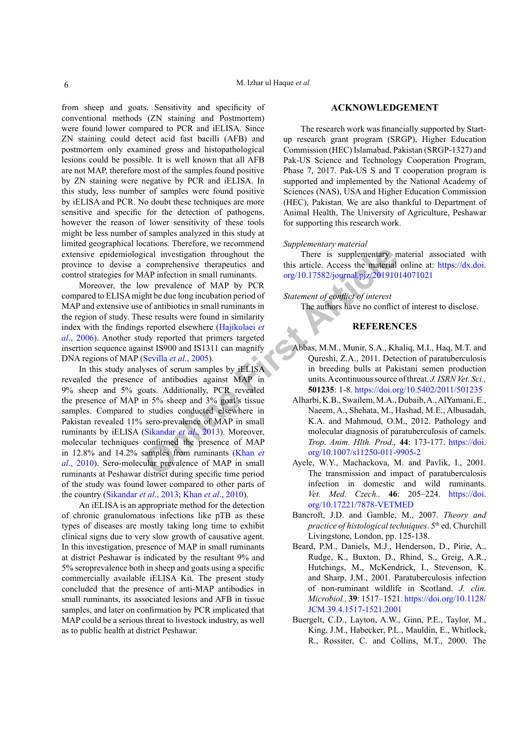from sheep and goats. Sensitivity and specificity of conventional methods (ZN staining and Postmortem) were found lower compared to PCR and iELISA. Since ZN staining could detect acid fast bacilli (AFB) and postmortem only examined gross and histopathological lesions could be possible. It is well known that all AFB are not MAP, therefore most of the samples found positive by ZN staining were negative by PCR and iELISA. In this study, less number of samples were found positive by iELISA and PCR. No doubt these techniques are more sensitive and specific for the detection of pathogens, however the reason of lower sensitivity of these tools might be less number of samples analyzed in this study at limited geographical locations. Therefore, we recommend extensive epidemiological investigation throughout the province to devise a comprehensive therapeutics and control strategies for MAP infection in small ruminants.

Moreover, the low prevalence of MAP by PCR compared to ELISA might be due long incubation period of MAP and extensive use of antibiotics in small ruminants in the region of study. These results were found in similarity index with the findings reported elsewhere (Hajikolaei *et al*., 2006). Another study reported that primers targeted insertion sequence against IS900 and IS1311 can magnify DNA regions of MAP (Sevilla *et al*., 2005).

Grapheno intervalence of MAP in the presence of MAP in small runninants.<br>
We prevented the subplementary intervalence of MAP by PCR<br>
We prevented on the main of earlier of endities in small runninants in<br>
Statement of conf In this study analyses of serum samples by iELISA revealed the presence of antibodies against MAP in 9% sheep and 5% goats. Additionally, PCR revealed the presence of MAP in 5% sheep and 3% goat's tissue samples. Compared to studies conducted elsewhere in Pakistan revealed 11% sero-prevalence of MAP in small ruminants by iELISA (Sikandar *et al*., 2013). Moreover, molecular techniques confirmed the presence of MAP in 12.8% and 14.2% samples from ruminants (Khan *et al*., 2010). Sero-molecular prevalence of MAP in small ruminants at Peshawar district during specific time period of the study was found lower compared to other parts of the country (Sikandar *et al*., 2013; Khan *et al*., 2010).

An iELISA is an appropriate method for the detection of chronic granulomatous infections like pTB as these types of diseases are mostly taking long time to exhibit clinical signs due to very slow growth of causative agent. In this investigation, presence of MAP in small ruminants at district Peshawar is indicated by the resultant 9% and 5% seroprevalence both in sheep and goats using a specific commercially available iELISA Kit. The present study concluded that the presence of anti-MAP antibodies in small ruminants, its associated lesions and AFB in tissue samples, and later on confirmation by PCR implicated that MAP could be a serious threat to livestock industry, as well as to public health at district Peshawar.

#### **ACKNOWLEDGEMENT**

The research work was financially supported by Startup research grant program (SRGP), Higher Education Commission (HEC) Islamabad, Pakistan (SRGP-1327) and Pak-US Science and Technology Cooperation Program, Phase 7, 2017. Pak-US S and T cooperation program is supported and implemented by the National Academy of Sciences (NAS), USA and Higher Education Commission (HEC), Pakistan. We are also thankful to Department of Animal Health, The University of Agriculture, Peshawar for supporting this research work.

#### *Supplementary material*

There is supplementary material associated with this article. Access the material online at: [https://dx.doi.](https://dx.doi.org/10.17582/journal.pjz/20191014071021) org/10.17582/journal.pjz/20191014071021

*Statement of conflict of interest* 

The authors have no conflict of interest to disclose.

#### **REFERENCES**

- Abbas, M.M., Munir, S.A., Khaliq, M.I., Haq, M.T. and Qureshi, Z.A., 2011. Detection of paratuberculosis in breeding bulls at Pakistani semen production units. A continuous source of threat. *J. ISRN Vet. Sci.,* **501235**: 1-8. <https://doi.org/10.5402/2011/501235>
- Alharbi, K.B., Swailem, M.A., Dubaib, A., AlYamani, E., Naeem, A., Shehata, M., Hashad, M.E., Albusadah, K.A. and Mahmoud, O.M., 2012. Pathology and molecular diagnosis of paratuberculosis of camels. *Trop. Anim. Hlth. Prod.,* **44**: 173-177. [https://doi.](https://doi.org/10.1007/s11250-011-9905-2) org/10.1007/s11250-011-9905-2
- Ayele, W.Y., Machackova, M. and Pavlik, I., 2001. The transmission and impact of paratuberculosis infection in domestic and wild ruminants. *Vet. Med. Czech.,* **46**: 205–224. [https://doi.](https://doi.org/10.17221/7878-VETMED) [org/10.17221/7878-VETMED](https://doi.org/10.17221/7878-VETMED)
- Bancroft, J.D. and Gamble, M., 2007. *Theory and practice of histological techniques*. 5<sup>th</sup> ed. Churchill Livingstone, London, pp. 125-138.
- Beard, P.M., Daniels, M.J., Henderson, D., Pirie, A., Rudge, K., Buxton, D., Rhind, S., Greig, A.R., Hutchings, M., McKendrick, I., Stevenson, K. and Sharp, J.M., 2001. Paratuberculosis infection of non-ruminant wildlife in Scotland. *J. clin. Microbiol.,* **39**: 1517–1521. [https://doi.org/10.1128/](https://doi.org/10.1128/JCM.39.4.1517-1521.2001) [JCM.39.4.1517-1521.2001](https://doi.org/10.1128/JCM.39.4.1517-1521.2001)
- Buergelt, C.D., Layton, A.W., Ginn, P.E., Taylor, M., King, J.M., Habecker, P.L., Mauldin, E., Whitlock, R., Rossiter, C. and Collins, M.T., 2000. The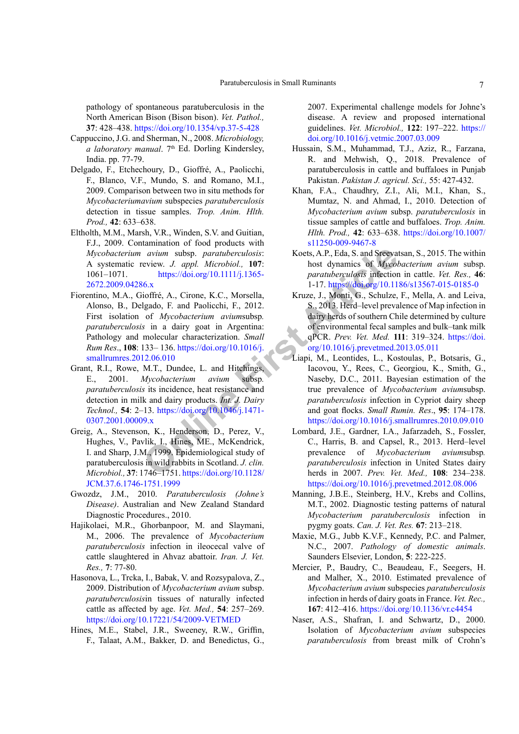pathology of spontaneous paratuberculosis in the North American Bison (Bison bison). *Vet. Pathol.,* **37**: 428–438.<https://doi.org/10.1354/vp.37-5-428>

- Cappuccino, J.G. and Sherman, N., 2008. *Microbiology, a laboratory manual.* 7<sup>th</sup> Ed. Dorling Kindersley, India. pp. 77-79.
- Delgado, F., Etchechoury, D., Gioffré, A., Paolicchi, F., Blanco, V.F., Mundo, S. and Romano, M.I., 2009. Comparison between two in situ methods for *Mycobacteriumavium* subspecies *paratuberculosis* detection in tissue samples. *Trop. Anim. Hlth. Prod.,* **42**: 633–638.
- Eltholth, M.M., Marsh, V.R., Winden, S.V. and Guitian, F.J., 2009. Contamination of food products with *Mycobacterium avium* subsp. *paratuberculosis*: A systematic review. *J. appl. Microbiol.,* **107**: 1061–1071. https://doi.org/10.1111/j.1365- [2672.2009.04286.x](https://doi.org/10.1111/j.1365-2672.2009.04286.x)
- *Compa[r](https://doi.org/10.1016/j.smallrumres.2012.06.010)ing to the Articlear Comparing Spin Microbiol, 107:*<br> *Comparing to the article of Mycology* (10.1111/j.1365-<br>
11.7. https://doi.org/10.1111/j.1365-<br>
11.7. https://doi.org/10.1111/j.1365-<br>
11.7. https://doi.org/10.1 Fiorentino, M.A., Gioffré, A., Cirone, K.C., Morsella, Alonso, B., Delgado, F. and Paolicchi, F., 2012. First isolation of *Mycobacterium avium*subsp*. paratuberculosis* in a dairy goat in Argentina: Pathology and molecular characterization. *Small Rum Res*., **108**: 133– 136. https://doi.org/10.1016/j. [smallrumres.2012.06.010](https://doi.org/10.1016/j.smallrumres.2012.06.010)
- Grant, R.I., Rowe, M.T., Dundee, L. and Hitchings, E., 2001. *Mycobacterium avium* subsp*. paratuberculosis* its incidence, heat resistance and detection in milk and dairy products. *Int. J. Dairy Technol.,* **54**: 2–13. https://doi.org/10.1046/j.1471- [0307.2001.00009.x](https://doi.org/10.1046/j.1471-0307.2001.00009.x)
- Greig, A., Stevenson, K., Henderson, D., Perez, V., Hughes, V., Pavlik, I., Hines, ME., McKendrick, I. and Sharp, J.M., 1999. Epidemiological study of paratuberculosis in wild rabbits in Scotland. *J. clin. Microbiol.,* **37**: 1746–1751. https://doi.org/10.1128/ [JCM.37.6.1746-1751.1999](https://doi.org/10.1128/JCM.37.6.1746-1751.1999)
- Gwozdz, J.M., 2010. *Paratuberculosis (Johne's Disease)*. Australian and New Zealand Standard Diagnostic Procedures., 2010.
- Hajikolaei, M.R., Ghorbanpoor, M. and Slaymani, M., 2006. The prevalence of *Mycobacterium paratuberculosis* infection in ileocecal valve of cattle slaughtered in Ahvaz abattoir. *Iran. J. Vet. Res.,* **7**: 77-80.
- Hasonova, L., Trcka, I., Babak, V. and Rozsypalova, Z., 2009. Distribution of *Mycobacterium avium* subsp. *paratuberculosis*in tissues of naturally infected cattle as affected by age. *Vet. Med.,* **54**: 257–269. <https://doi.org/10.17221/54/2009-VETMED>
- Hines, M.E., Stabel, J.R., Sweeney, R.W., Griffin, F., Talaat, A.M., Bakker, D. and Benedictus, G.,

2007. Experimental challenge models for Johne's disease. A review and proposed international guidelines. *Vet. Microbiol.,* **122**: 197–222. [https://](https://doi.org/10.1016/j.vetmic.2007.03.009) [doi.org/10.1016/j.vetmic.2007.03.009](https://doi.org/10.1016/j.vetmic.2007.03.009)

- Hussain, S.M., Muhammad, T.J., Aziz, R., Farzana, R. and Mehwish, Q., 2018. Prevalence of paratuberculosis in cattle and buffaloes in Punjab Pakistan. *Pakistan J. agricul. Sci.,* 55: 427-432.
- Khan, F.A., Chaudhry, Z.I., Ali, M.I., Khan, S., Mumtaz, N. and Ahmad, I., 2010. Detection of *Mycobacterium avium* subsp. *paratuberculosis* in tissue samples of cattle and buffaloes. *Trop. Anim. Hlth. Prod.,* **42**: 633–638. [https://doi.org/10.1007/](https://doi.org/10.1007/s11250-009-9467-8) [s11250-009-9467-8](https://doi.org/10.1007/s11250-009-9467-8)
- Koets, A.P., Eda, S. and Sreevatsan, S., 2015. The within host dynamics of *Mycobacterium avium* subsp. *paratuberculosis* infection in cattle. *Vet. Res.,* **46**: 1-17. <https://doi.org/10.1186/s13567-015-0185-0>
- Kruze, J., Monti, G., Schulze, F., Mella, A. and Leiva, S., 2013. Herd–level prevalence of Map infection in dairy herds of southern Chile determined by culture of environmental fecal samples and bulk–tank milk qPCR. *Prev. Vet. Med.* **111**: 319–324. [https://doi.](https://doi.org/10.1016/j.prevetmed.2013.05.011) [org/10.1016/j.prevetmed.2013.05.011](https://doi.org/10.1016/j.prevetmed.2013.05.011)
- Liapi, M., Leontides, L., Kostoulas, P., Botsaris, G., Iacovou, Y., Rees, C., Georgiou, K., Smith, G., Naseby, D.C., 2011. Bayesian estimation of the true prevalence of *Mycobacterium avium*subsp. *paratuberculosis* infection in Cypriot dairy sheep and goat flocks. *Small Rumin. Res*., **95**: 174–178. <https://doi.org/10.1016/j.smallrumres.2010.09.010>
	- Lombard, J.E., Gardner, I.A., Jafarzadeh, S., Fossler, C., Harris, B. and Capsel, R., 2013. Herd–level prevalence of *Mycobacterium avium*subsp*. paratuberculosis* infection in United States dairy herds in 2007. *Prev. Vet. Med.,* **108**: 234–238. <https://doi.org/10.1016/j.prevetmed.2012.08.006>
	- Manning, J.B.E., Steinberg, H.V., Krebs and Collins, M.T., 2002. Diagnostic testing patterns of natural *Mycobacterium paratuberculosis* infection in pygmy goats. *Can. J. Vet. Res.* **67**: 213–218.
	- Maxie, M.G., Jubb K.V.F., Kennedy, P.C. and Palmer, N.C., 2007. *Pathology of domestic animals*. Saunders Elsevier, London, **5**: 222-225.
	- Mercier, P., Baudry, C., Beaudeau, F., Seegers, H. and Malher, X., 2010. Estimated prevalence of *Mycobacterium avium* subspecies *paratuberculosis*  infection in herds of dairy goats in France. *Vet. Rec.,* **167**: 412–416.<https://doi.org/10.1136/vr.c4454>
	- Naser, A.S., Shafran, I. and Schwartz, D., 2000. Isolation of *Mycobacterium avium* subspecies *paratuberculosis* from breast milk of Crohn's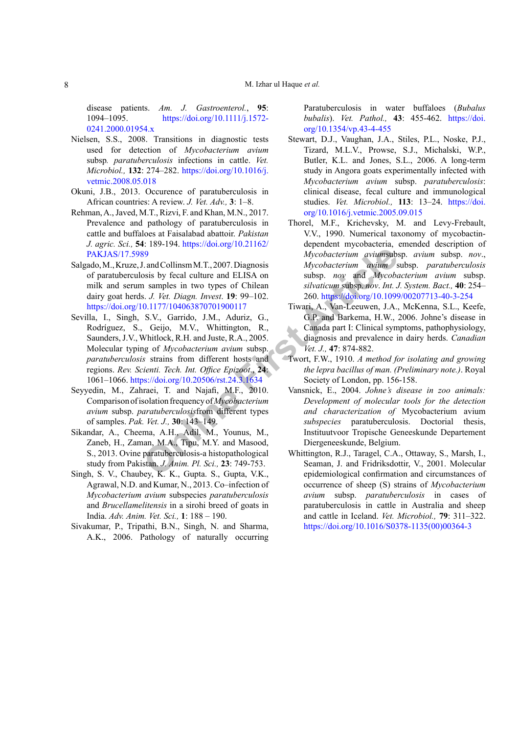disease patients. *Am. J. Gastroenterol.*, **95**: 1094–1095. [https://doi.org/10.1111/j.1572-](https://doi.org/10.1111/j.1572-0241.2000.01954.x) [0241.2000.01954.x](https://doi.org/10.1111/j.1572-0241.2000.01954.x)

- Nielsen, S.S., 2008. Transitions in diagnostic tests used for detection of *Mycobacterium avium*  subsp*. paratuberculosis* infections in cattle. *Vet. Microbiol.,* **132**: 274–282. [https://doi.org/10.1016/j.](https://doi.org/10.1016/j.vetmic.2008.05.018) [vetmic.2008.05.018](https://doi.org/10.1016/j.vetmic.2008.05.018)
- Okuni, J.B., 2013. Occurence of paratuberculosis in African countries: A review. *J. Vet. Adv.,* **3**: 1–8.
- Rehman, A., Javed, M.T., Rizvi, F. and Khan, M.N., 2017. Prevalence and pathology of paratuberculosis in cattle and buffaloes at Faisalabad abattoir. *Pakistan J. agric. Sci.,* **54**: 189-194. [https://doi.org/10.21162/](https://doi.org/10.21162/PAKJAS/17.5989) [PAKJAS/17.5989](https://doi.org/10.21162/PAKJAS/17.5989)
- Salgado, M., Kruze, J. and Collinsm M.T., 2007. Diagnosis of paratuberculosis by fecal culture and ELISA on milk and serum samples in two types of Chilean dairy goat herds. *J. Vet. Diagn. Invest*. **19**: 99–102. <https://doi.org/10.1177/104063870701900117>
- Mycobacterium aviums about a man be the tell state of Chilean M.T., 2007. Diagnosis Mycobacterium avium subs<br>
Sosis by fecal culture and ELISA on subsp. *nov* and Mycobacterium subsp. *nov* and Mycobacterium subsp. *nov* a Sevilla, I., Singh, S.V., Garrido, J.M., Aduriz, G., Rodríguez, S., Geijo, M.V., Whittington, R., Saunders, J.V., Whitlock, R.H. and Juste, R.A., 2005. Molecular typing of *Mycobacterium avium* subsp. *paratuberculosis* strains from different hosts and regions. *Rev. Scienti. Tech. Int. Office Epizoot*., **24**: 1061–1066. https://doi.org/10.20506/rst.24.3.1634
- Seyyedin, M., Zahraei, T. and Najafi, M.F., 2010. Comparison of isolation frequency of *Mycobacterium avium* subsp. *paratuberculosis*from different types of samples. *Pak. Vet. J.,* **30**: 143–149.
- Sikandar, A., Cheema, A.H., Adil, M., Younus, M., Zaneb, H., Zaman, M.A., Tipu, M.Y. and Masood, S., 2013. Ovine paratuberculosis-a histopathological study from Pakistan. *J. Anim. Pl. Sci.,* **23**: 749-753.
- Singh, S. V., Chaubey, K. K., Gupta. S., Gupta, V.K., Agrawal, N.D. and Kumar, N., 2013. Co–infection of *Mycobacterium avium* subspecies *paratuberculosis*  and *Brucellamelitensis* in a sirohi breed of goats in India. *Adv. Anim. Vet. Sci.,* **1**: 188 – 190.
- Sivakumar, P., Tripathi, B.N., Singh, N. and Sharma, A.K., 2006. Pathology of naturally occurring

Paratuberculosis in water buffaloes (*Bubalus bubalis*). *Vet. Pathol.,* **43**: 455-462. [https://doi.](https://doi.org/10.1354/vp.43-4-455) [org/10.1354/vp.43-4-455](https://doi.org/10.1354/vp.43-4-455)

- Stewart, D.J., Vaughan, J.A., Stiles, P.L., Noske, P.J., Tizard, M.L.V., Prowse, S.J., Michalski, W.P., Butler, K.L. and Jones, S.L., 2006. A long-term study in Angora goats experimentally infected with *Mycobacterium avium* subsp. *paratuberculosis*: clinical disease, fecal culture and immunological studies. *Vet. Microbiol.,* **113**: 13–24. [https://doi.](https://doi.org/10.1016/j.vetmic.2005.09.015) [org/10.1016/j.vetmic.2005.09.015](https://doi.org/10.1016/j.vetmic.2005.09.015)
- Thorel, M.F., Krichevsky, M. and Levy-Frebault, V.V., 1990. Numerical taxonomy of mycobactindependent mycobacteria, emended description of *Mycobacterium avium*subsp. *avium* subsp. *nov*., *Mycobacterium avium* subsp. *paratuberculosis* subsp. *nov* and *Mycobacterium avium* subsp. *silvaticum* subsp. *nov*. *Int. J. System. Bact.,* **40**: 254– 260. <https://doi.org/10.1099/00207713-40-3-254>
- Tiwari, A., Van-Leeuwen, J.A., McKenna, S.L., Keefe, G.P. and Barkema, H.W., 2006. Johne's disease in Canada part I: Clinical symptoms, pathophysiology, diagnosis and prevalence in dairy herds. *Canadian Vet. J.,* **47**: 874-882.
- Twort, F.W., 1910. *A method for isolating and growing the lepra bacillus of man. (Preliminary note.)*. Royal Society of London, pp. 156-158.
- Vansnick, E., 2004. *Johne's disease in zoo animals: Development of molecular tools for the detection and characterization of* Mycobacterium avium *subspecies* paratuberculosis. Doctorial thesis, Instituutvoor Tropische Geneeskunde Departement Diergeneeskunde, Belgium.
- Whittington, R.J., Taragel, C.A., Ottaway, S., Marsh, I., Seaman, J. and Fridriksdottir, V., 2001. Molecular epidemiological confirmation and circumstances of occurrence of sheep (S) strains of *Mycobacterium avium* subsp. *paratuberculosis* in cases of paratuberculosis in cattle in Australia and sheep and cattle in Iceland. *Vet. Microbiol.,* **79**: 311–322. [https://doi.org/10.1016/S0378-1135\(00\)00364-3](https://doi.org/10.1016/S0378-1135(00)00364-3)